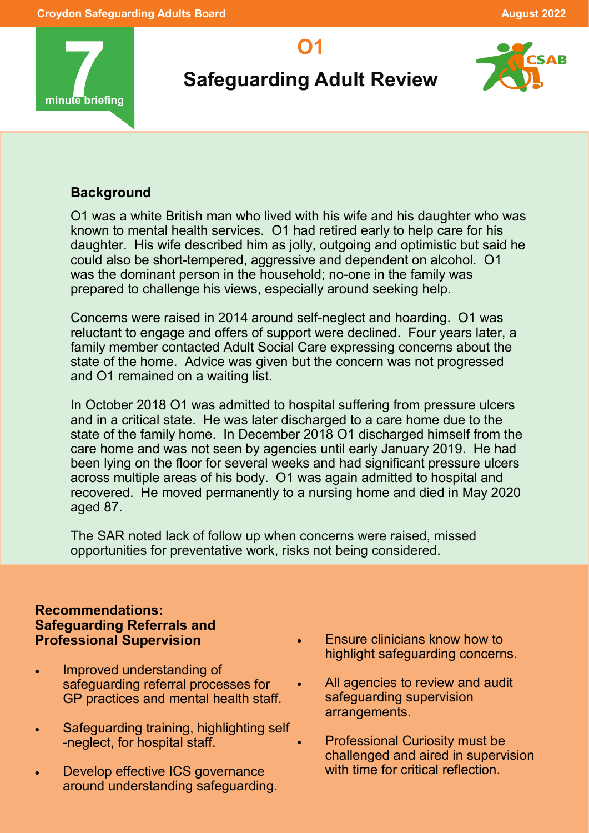

# **Safeguarding Adult Review**

**O1**



# **Background**

O1 was a white British man who lived with his wife and his daughter who was known to mental health services. O1 had retired early to help care for his daughter. His wife described him as jolly, outgoing and optimistic but said he could also be short-tempered, aggressive and dependent on alcohol. O1 was the dominant person in the household; no-one in the family was prepared to challenge his views, especially around seeking help.

Concerns were raised in 2014 around self-neglect and hoarding. O1 was reluctant to engage and offers of support were declined. Four years later, a family member contacted Adult Social Care expressing concerns about the state of the home. Advice was given but the concern was not progressed and O1 remained on a waiting list.

In October 2018 O1 was admitted to hospital suffering from pressure ulcers and in a critical state. He was later discharged to a care home due to the state of the family home. In December 2018 O1 discharged himself from the care home and was not seen by agencies until early January 2019. He had been lying on the floor for several weeks and had significant pressure ulcers across multiple areas of his body. O1 was again admitted to hospital and recovered. He moved permanently to a nursing home and died in May 2020 aged 87.

The SAR noted lack of follow up when concerns were raised, missed opportunities for preventative work, risks not being considered.

#### **Recommendations: Safeguarding Referrals and Professional Supervision**

- Improved understanding of safeguarding referral processes for GP practices and mental health staff.
- Safeguarding training, highlighting self -neglect, for hospital staff.
- Develop effective ICS governance around understanding safeguarding.
- Ensure clinicians know how to highlight safeguarding concerns.
- All agencies to review and audit safeguarding supervision arrangements.
	- Professional Curiosity must be challenged and aired in supervision with time for critical reflection.